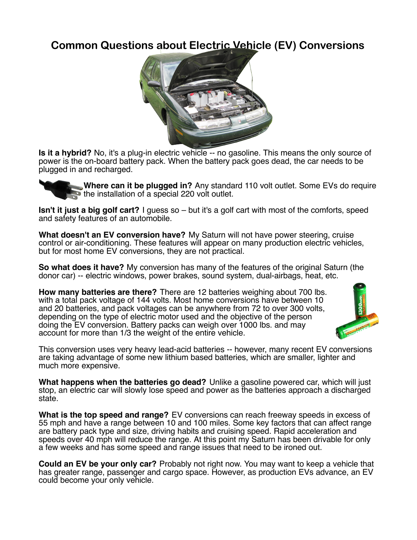## **Common Questions about Electric Vehicle (EV) Conversions**



**Is it a hybrid?** No, it's a plug-in electric vehicle -- no gasoline. This means the only source of power is the on-board battery pack. When the battery pack goes dead, the car needs to be plugged in and recharged.

**Where can it be plugged in?** Any standard 110 volt outlet. Some EVs do require the installation of a special 220 volt outlet.

**Isn't it just a big golf cart?** I guess so – but it's a golf cart with most of the comforts, speed and safety features of an automobile.

**What doesn't an EV conversion have?** My Saturn will not have power steering, cruise control or air-conditioning. These features will appear on many production electric vehicles, but for most home EV conversions, they are not practical.

**So what does it have?** My conversion has many of the features of the original Saturn (the donor car) -- electric windows, power brakes, sound system, dual-airbags, heat, etc.

**How many batteries are there?** There are 12 batteries weighing about 700 lbs. with a total pack voltage of 144 volts. Most home conversions have between 10 and 20 batteries, and pack voltages can be anywhere from 72 to over 300 volts, depending on the type of electric motor used and the objective of the person doing the EV conversion. Battery packs can weigh over 1000 lbs. and may account for more than 1/3 the weight of the entire vehicle.



This conversion uses very heavy lead-acid batteries -- however, many recent EV conversions are taking advantage of some new lithium based batteries, which are smaller, lighter and much more expensive.

**What happens when the batteries go dead?** Unlike a gasoline powered car, which will just stop, an electric car will slowly lose speed and power as the batteries approach a discharged state.

**What is the top speed and range?** EV conversions can reach freeway speeds in excess of 55 mph and have a range between 10 and 100 miles. Some key factors that can affect range are battery pack type and size, driving habits and cruising speed. Rapid acceleration and speeds over 40 mph will reduce the range. At this point my Saturn has been drivable for only a few weeks and has some speed and range issues that need to be ironed out.

**Could an EV be your only car?** Probably not right now. You may want to keep a vehicle that has greater range, passenger and cargo space. However, as production EVs advance, an EV could become your only vehicle.